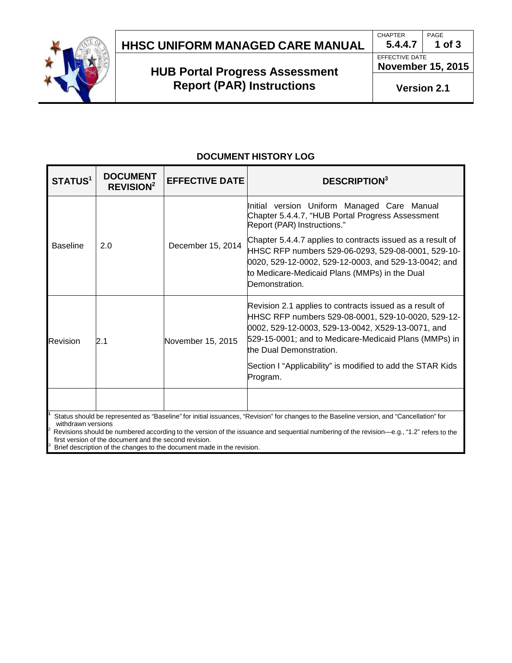

# **HUB Portal Progress Assessment Report (PAR) Instructions**

**5.4.4.7 1 of 3** EFFECTIVE DATE

**CHAPTER** 

**November 15, 2015**

PAGE

**Version 2.1**

## **DOCUMENT HISTORY LOG**

| <b>STATUS<sup>1</sup></b>                                                                                                                | <b>DOCUMENT</b><br>REVISION <sup>2</sup> | <b>EFFECTIVE DATE</b> | <b>DESCRIPTION</b> <sup>3</sup>                                                                                                                                                                                                                        |
|------------------------------------------------------------------------------------------------------------------------------------------|------------------------------------------|-----------------------|--------------------------------------------------------------------------------------------------------------------------------------------------------------------------------------------------------------------------------------------------------|
| <b>Baseline</b>                                                                                                                          | 2.0                                      | December 15, 2014     | Initial version Uniform Managed Care Manual<br>Chapter 5.4.4.7, "HUB Portal Progress Assessment<br>Report (PAR) Instructions."                                                                                                                         |
|                                                                                                                                          |                                          |                       | Chapter 5.4.4.7 applies to contracts issued as a result of<br>HHSC RFP numbers 529-06-0293, 529-08-0001, 529-10-<br>0020, 529-12-0002, 529-12-0003, and 529-13-0042; and<br>to Medicare-Medicaid Plans (MMPs) in the Dual<br>Demonstration.            |
| Revision                                                                                                                                 | 2.1                                      | November 15, 2015     | Revision 2.1 applies to contracts issued as a result of<br>HHSC RFP numbers 529-08-0001, 529-10-0020, 529-12-<br>0002, 529-12-0003, 529-13-0042, X529-13-0071, and<br>529-15-0001; and to Medicare-Medicaid Plans (MMPs) in<br>the Dual Demonstration. |
|                                                                                                                                          |                                          |                       | Section I "Applicability" is modified to add the STAR Kids<br>Program.                                                                                                                                                                                 |
|                                                                                                                                          |                                          |                       |                                                                                                                                                                                                                                                        |
| Status should be represented as "Baseline" for initial issuances, "Revision" for changes to the Baseline version, and "Cancellation" for |                                          |                       |                                                                                                                                                                                                                                                        |

withdrawn versions<br>Revisions should be numbered according to the version of the issuance and sequential numbering of the revision—e.g., "1.2" refers to the<br>first version of the document and the second revision.

first version of the document and the second revision. 3 Brief description of the changes to the document made in the revision.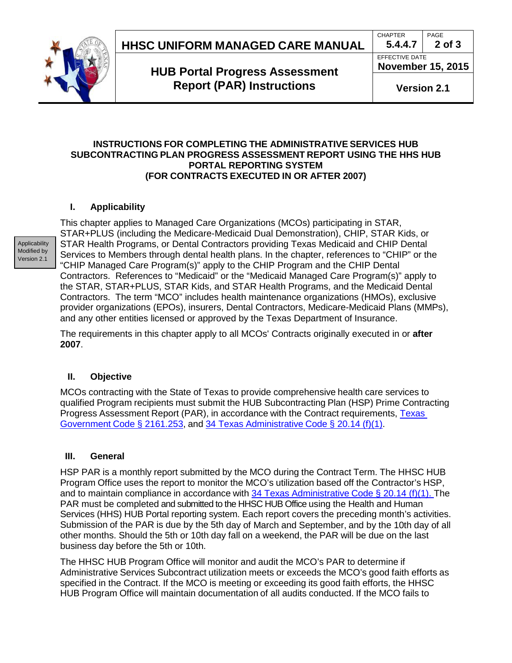**CHAPTER 5.4.4.7** PAGE

EFFECTIVE DATE



## **HUB Portal Progress Assessment Report (PAR) Instructions**

**November 15, 2015**

**2 of 3**

**Version 2.1**

#### **INSTRUCTIONS FOR COMPLETING THE ADMINISTRATIVE SERVICES HUB SUBCONTRACTING PLAN PROGRESS ASSESSMENT REPORT USING THE HHS HUB PORTAL REPORTING SYSTEM (FOR CONTRACTS EXECUTED IN OR AFTER 2007)**

### **I. Applicability**

Applicability Modified by Version 2.1

This chapter applies to Managed Care Organizations (MCOs) participating in STAR, STAR+PLUS (including the Medicare-Medicaid Dual Demonstration), CHIP, STAR Kids, or STAR Health Programs, or Dental Contractors providing Texas Medicaid and CHIP Dental Services to Members through dental health plans. In the chapter, references to "CHIP" or the "CHIP Managed Care Program(s)" apply to the CHIP Program and the CHIP Dental Contractors. References to "Medicaid" or the "Medicaid Managed Care Program(s)" apply to the STAR, STAR+PLUS, STAR Kids, and STAR Health Programs, and the Medicaid Dental Contractors. The term "MCO" includes health maintenance organizations (HMOs), exclusive provider organizations (EPOs), insurers, Dental Contractors, Medicare-Medicaid Plans (MMPs), and any other entities licensed or approved by the Texas Department of Insurance.

The requirements in this chapter apply to all MCOs' Contracts originally executed in or **after 2007**.

#### **II. Objective**

MCOs contracting with the State of Texas to provide comprehensive health care services to qualified Program recipients must submit the HUB Subcontracting Plan (HSP) Prime Contracting Progress Assessment Report (PAR), in accordance with the Contract requirements, [Texas](http://www.statutes.legis.state.tx.us/Docs/GV/htm/GV.2161.htm#2161.253) [Government](http://www.statutes.legis.state.tx.us/Docs/GV/htm/GV.2161.htm#2161.253) Code § 2161.253, and 34 Texas [Administrative](http://info.sos.state.tx.us/pls/pub/readtac$ext.TacPage?sl=T&app=9&p_dir=F&p_rloc=130934&p_tloc=14711&p_ploc=1&pg=2&p_tac=&ti=34&pt=1&ch=20&rl=14) Code § 20.14 (f)(1).

#### **III. General**

HSP PAR is a monthly report submitted by the MCO during the Contract Term. The HHSC HUB Program Office uses the report to monitor the MCO's utilization based off the Contractor's HSP, and to maintain compliance in accordance with 34 Texas [Administrative](http://info.sos.state.tx.us/pls/pub/readtac$ext.TacPage?sl=T&app=9&p_dir=F&p_rloc=130934&p_tloc=14711&p_ploc=1&pg=2&p_tac=&ti=34&pt=1&ch=20&rl=14) Code § 20.14 (f)(1). The PAR must be completed and submitted to the HHSC HUB Office using the Health and Human Services (HHS) HUB Portal reporting system. Each report covers the preceding month's activities. Submission of the PAR is due by the 5th day of March and September, and by the 10th day of all other months. Should the 5th or 10th day fall on a weekend, the PAR will be due on the last business day before the 5th or 10th.

The HHSC HUB Program Office will monitor and audit the MCO's PAR to determine if Administrative Services Subcontract utilization meets or exceeds the MCO's good faith efforts as specified in the Contract. If the MCO is meeting or exceeding its good faith efforts, the HHSC HUB Program Office will maintain documentation of all audits conducted. If the MCO fails to